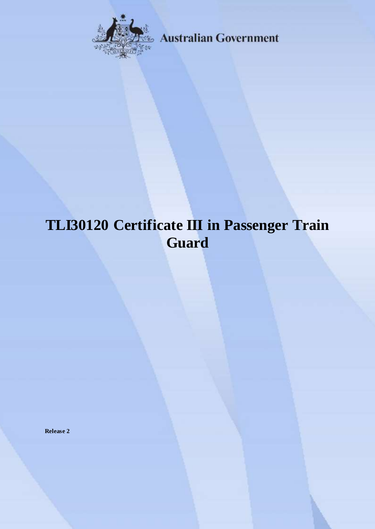

**Australian Government** 

# **TLI30120 Certificate III in Passenger Train Guard**

**Release 2**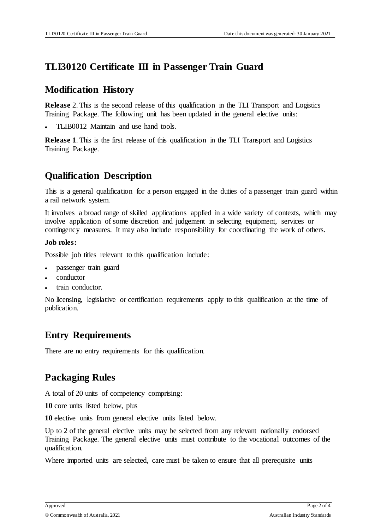### **TLI30120 Certificate III in Passenger Train Guard**

#### **Modification History**

**Release** 2. This is the second release of this qualification in the TLI Transport and Logistics Training Package. The following unit has been updated in the general elective units:

TLIB0012 Maintain and use hand tools.

**Release 1**. This is the first release of this qualification in the TLI Transport and Logistics Training Package.

### **Qualification Description**

This is a general qualification for a person engaged in the duties of a passenger train guard within a rail network system.

It involves a broad range of skilled applications applied in a wide variety of contexts, which may involve application of some discretion and judgement in selecting equipment, services or contingency measures. It may also include responsibility for coordinating the work of others.

#### **Job roles:**

Possible job titles relevant to this qualification include:

- passenger train guard
- conductor
- train conductor.

No licensing, legislative or certification requirements apply to this qualification at the time of publication.

## **Entry Requirements**

There are no entry requirements for this qualification.

#### **Packaging Rules**

A total of 20 units of competency comprising:

**10** core units listed below, plus

**10** elective units from general elective units listed below.

Up to 2 of the general elective units may be selected from any relevant nationally endorsed Training Package. The general elective units must contribute to the vocational outcomes of the qualification.

Where imported units are selected, care must be taken to ensure that all prerequisite units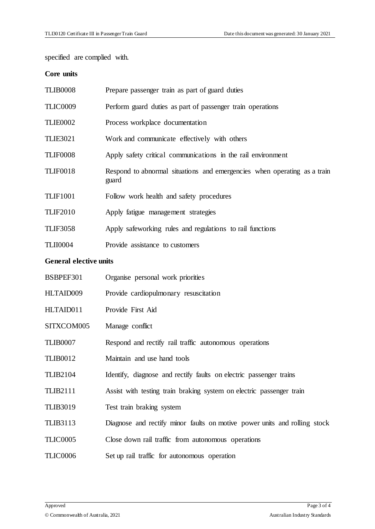specified are complied with.

#### **Core units**

| <b>TLIB0008</b>               | Prepare passenger train as part of guard duties                                   |
|-------------------------------|-----------------------------------------------------------------------------------|
| TLIC0009                      | Perform guard duties as part of passenger train operations                        |
| <b>TLIE0002</b>               | Process workplace documentation                                                   |
| <b>TLIE3021</b>               | Work and communicate effectively with others                                      |
| <b>TLIF0008</b>               | Apply safety critical communications in the rail environment                      |
| <b>TLIF0018</b>               | Respond to abnormal situations and emergencies when operating as a train<br>guard |
| <b>TLIF1001</b>               | Follow work health and safety procedures                                          |
| <b>TLIF2010</b>               | Apply fatigue management strategies                                               |
| <b>TLIF3058</b>               | Apply safeworking rules and regulations to rail functions                         |
| <b>TLII0004</b>               | Provide assistance to customers                                                   |
| <b>General elective units</b> |                                                                                   |
| BSBPEF301                     | Organise personal work priorities                                                 |
| HLTAID009                     | Provide cardiopulmonary resuscitation                                             |
| HLTAID011                     | Provide First Aid                                                                 |
| SITXCOM005                    | Manage conflict                                                                   |
| <b>TLIB0007</b>               | Respond and rectify rail traffic autonomous operations                            |
| <b>TLIB0012</b>               | Maintain and use hand tools                                                       |
| <b>TLIB2104</b>               | Identify, diagnose and rectify faults on electric passenger trains                |
| <b>TLIB2111</b>               | Assist with testing train braking system on electric passenger train              |
| <b>TLIB3019</b>               | Test train braking system                                                         |
| <b>TLIB3113</b>               | Diagnose and rectify minor faults on motive power units and rolling stock         |
| <b>TLIC0005</b>               | Close down rail traffic from autonomous operations                                |
|                               |                                                                                   |

TLIC0006 Set up rail traffic for autonomous operation